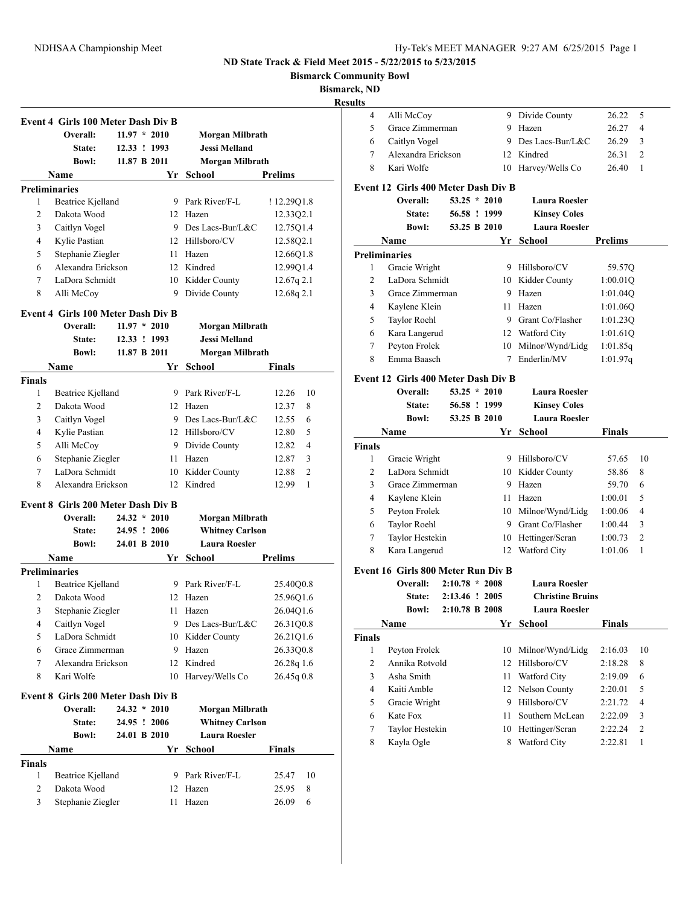**Bismarck Community Bowl**

**Bismarc** 

**<u>esu</u>** 

|                         | <b>Event 4 Girls 100 Meter Dash Div B</b><br>Overall: | $11.97 * 2010$ | Morgan Milbrath        |                                                                 |
|-------------------------|-------------------------------------------------------|----------------|------------------------|-----------------------------------------------------------------|
|                         | State:                                                | 12.33 ! 1993   | <b>Jessi Melland</b>   |                                                                 |
|                         | <b>Bowl:</b>                                          | 11.87 B 2011   | Morgan Milbrath        |                                                                 |
|                         | Name                                                  | Yr             | School                 | <b>Prelims</b>                                                  |
|                         | Preliminaries                                         |                |                        |                                                                 |
| 1                       | Beatrice Kjelland                                     |                | 9 Park River/F-L       | !12.29Q1.8                                                      |
| 2                       | Dakota Wood                                           |                | 12 Hazen               | 12.33Q2.1                                                       |
| 3                       | Caitlyn Vogel                                         |                | 9 Des Lacs-Bur/L&C     | 12.75Q1.4                                                       |
| 4                       | Kylie Pastian                                         |                | 12 Hillsboro/CV        | 12.58Q2.1                                                       |
| 5                       | Stephanie Ziegler                                     |                | 11 Hazen               | 12.66Q1.8                                                       |
| 6                       | Alexandra Erickson                                    |                | 12 Kindred             | 12.99Q1.4                                                       |
| $\tau$                  | LaDora Schmidt                                        |                | 10 Kidder County       | 12.67q 2.1                                                      |
| 8                       | Alli McCoy                                            | 9              | Divide County          | 12.68q 2.1                                                      |
|                         | <b>Event 4 Girls 100 Meter Dash Div B</b>             |                |                        |                                                                 |
|                         | Overall:                                              | $11.97 * 2010$ | Morgan Milbrath        |                                                                 |
|                         | State:                                                | 12.33 ! 1993   | <b>Jessi Melland</b>   |                                                                 |
|                         | <b>Bowl:</b>                                          | 11.87 B 2011   | Morgan Milbrath        |                                                                 |
|                         | Name                                                  | Yr             | School                 | Finals                                                          |
| <b>Finals</b>           |                                                       |                |                        |                                                                 |
| 1                       | Beatrice Kjelland                                     |                | 9 Park River/F-L       | 12.26<br>10                                                     |
| 2                       | Dakota Wood                                           |                | 12 Hazen               | 12.37<br>8                                                      |
| 3                       | Caitlyn Vogel                                         |                | 9 Des Lacs-Bur/L&C     | 12.55<br>6                                                      |
| 4                       | Kylie Pastian                                         |                | 12 Hillsboro/CV        | 12.80<br>5                                                      |
| 5                       | Alli McCoy                                            |                | 9 Divide County        | 12.82<br>4                                                      |
| 6                       | Stephanie Ziegler                                     |                | 11 Hazen               | 12.87<br>3                                                      |
| 7                       | LaDora Schmidt                                        |                | 10 Kidder County       | 12.88<br>2                                                      |
| 8                       | Alexandra Erickson                                    | 12             | Kindred                | 1<br>12.99                                                      |
|                         | <b>Event 8 Girls 200 Meter Dash Div B</b>             |                |                        |                                                                 |
|                         | Overall:                                              | $24.32 * 2010$ | Morgan Milbrath        |                                                                 |
|                         | State:                                                | 24.95 ! 2006   | <b>Whitney Carlson</b> |                                                                 |
|                         | <b>Bowl:</b>                                          | 24.01 B 2010   | <b>Laura Roesler</b>   |                                                                 |
|                         | Name                                                  | Yr             | School                 | <b>Prelims</b>                                                  |
|                         | <b>Preliminaries</b>                                  |                |                        |                                                                 |
| 1                       | Beatrice Kjelland                                     |                | 9 Park River/F-L       | 25.40Q0.8                                                       |
|                         | Dakota Wood                                           |                | 12 Hazen               | 25.96Q1.6                                                       |
| $\overline{c}$          |                                                       |                |                        |                                                                 |
| 3                       | Stephanie Ziegler                                     |                | 11 Hazen               |                                                                 |
| 4                       | Caitlyn Vogel                                         |                | 9 Des Lacs-Bur/L&C     | 26.31Q0.8                                                       |
| 5                       | LaDora Schmidt                                        |                | 10 Kidder County       |                                                                 |
| 6                       | Grace Zimmerman                                       |                | 9 Hazen                |                                                                 |
| 7                       | Alexandra Erickson                                    | 12             | Kindred                |                                                                 |
| 8                       | Kari Wolfe                                            | 10             | Harvey/Wells Co        |                                                                 |
|                         | <b>Event 8 Girls 200 Meter Dash Div B</b>             |                |                        |                                                                 |
|                         | Overall:                                              | $24.32 * 2010$ | Morgan Milbrath        |                                                                 |
|                         | State:                                                | 24.95 ! 2006   | <b>Whitney Carlson</b> | 26.04Q1.6<br>26.21Q1.6<br>26.33Q0.8<br>26.28q 1.6<br>26.45q 0.8 |
|                         | <b>Bowl:</b>                                          | 24.01 B 2010   | <b>Laura Roesler</b>   |                                                                 |
|                         | Name                                                  | Yr             | School                 | <b>Finals</b>                                                   |
|                         |                                                       |                |                        |                                                                 |
| $\mathbf{1}$            | Beatrice Kjelland                                     | 9.             | Park River/F-L         | 25.47                                                           |
| <b>Finals</b><br>2<br>3 | Dakota Wood<br>Stephanie Ziegler                      | 12             | Hazen                  | 10<br>25.95<br>8                                                |

| :k, ND                  |                                            |                       |                  |                         |                    |                     |
|-------------------------|--------------------------------------------|-----------------------|------------------|-------------------------|--------------------|---------------------|
| lts                     |                                            |                       |                  |                         |                    |                     |
| 4                       | Alli McCoy                                 |                       |                  | 9 Divide County         | 26.22              | 5                   |
| 5                       | Grace Zimmerman                            |                       |                  | 9 Hazen                 | 26.27              | 4                   |
| 6                       | Caitlyn Vogel                              |                       |                  | 9 Des Lacs-Bur/L&C      | 26.29              | 3                   |
| 7                       | Alexandra Erickson                         |                       |                  | 12 Kindred              | 26.31              | $\overline{2}$      |
| 8                       | Kari Wolfe                                 |                       | 10               | Harvey/Wells Co         | 26.40              | 1                   |
|                         | <b>Event 12 Girls 400 Meter Dash Div B</b> |                       |                  |                         |                    |                     |
|                         | Overall:                                   |                       | $53.25 * 2010$   | <b>Laura Roesler</b>    |                    |                     |
|                         | State:                                     |                       | 56.58 ! 1999     | <b>Kinsey Coles</b>     |                    |                     |
|                         | <b>Bowl:</b>                               |                       | 53.25 B 2010     | <b>Laura Roesler</b>    |                    |                     |
|                         | Name                                       |                       | Yr               | <b>School</b>           | Prelims            |                     |
|                         | Preliminaries                              |                       |                  |                         |                    |                     |
| 1                       | Gracie Wright                              |                       |                  | 9 Hillsboro/CV          | 59.57Q             |                     |
| 2                       | LaDora Schmidt                             |                       |                  | 10 Kidder County        | 1:00.01Q           |                     |
| 3                       | Grace Zimmerman                            |                       |                  | 9 Hazen                 | 1:01.04Q           |                     |
| 4                       | Kaylene Klein                              |                       | 11               | Hazen                   | 1:01.06Q           |                     |
| 5                       | <b>Taylor Roehl</b>                        |                       |                  | 9 Grant Co/Flasher      | 1:01.23Q           |                     |
| 6                       | Kara Langerud                              |                       |                  | 12 Watford City         | 1:01.61Q           |                     |
| 7                       | Peyton Frolek                              |                       | 10               | Milnor/Wynd/Lidg        | 1:01.85q           |                     |
| 8                       | Emma Baasch                                |                       | 7                | Enderlin/MV             | 1:01.97q           |                     |
|                         |                                            |                       |                  |                         |                    |                     |
|                         | Event 12 Girls 400 Meter Dash Div B        |                       |                  |                         |                    |                     |
|                         | Overall:                                   |                       | $53.25 * 2010$   | Laura Roesler           |                    |                     |
|                         | State:                                     |                       | 56.58 ! 1999     | <b>Kinsey Coles</b>     |                    |                     |
|                         | <b>Bowl:</b>                               |                       | 53.25 B 2010     | <b>Laura Roesler</b>    |                    |                     |
|                         | Name                                       |                       | Yr               | <b>School</b>           | <b>Finals</b>      |                     |
| Finals<br>1             | Gracie Wright                              |                       |                  | 9 Hillsboro/CV          | 57.65              | 10                  |
| 2                       | LaDora Schmidt                             |                       |                  | 10 Kidder County        | 58.86              | 8                   |
| 3                       | Grace Zimmerman                            |                       | 9                | Hazen                   | 59.70              | 6                   |
| 4                       | Kaylene Klein                              |                       | 11               | Hazen                   |                    | 5                   |
| 5                       | Peyton Frolek                              |                       |                  | 10 Milnor/Wynd/Lidg     | 1:00.01<br>1:00.06 | 4                   |
|                         |                                            |                       |                  |                         |                    |                     |
| 6                       | <b>Taylor Roehl</b>                        |                       |                  | 9 Grant Co/Flasher      | 1:00.44            | 3<br>$\overline{2}$ |
| 7                       | Taylor Hestekin                            |                       |                  | 10 Hettinger/Scran      | 1:00.73<br>1:01.06 | $\mathbf{1}$        |
| 8                       | Kara Langerud                              |                       | 12               | Watford City            |                    |                     |
|                         | Event 16  Girls 800 Meter Run Div B        |                       |                  |                         |                    |                     |
|                         | Overall:                                   |                       | $2:10.78 * 2008$ | <b>Laura Roesler</b>    |                    |                     |
|                         |                                            | State: 2:13.46 ! 2005 |                  | <b>Christine Bruins</b> |                    |                     |
|                         | <b>Bowl:</b>                               |                       | 2:10.78 B 2008   | <b>Laura Roesler</b>    |                    |                     |
|                         |                                            |                       | Yr               | <b>School</b>           | <b>Finals</b>      |                     |
| Finals                  | Name                                       |                       |                  |                         |                    |                     |
|                         |                                            |                       |                  |                         |                    |                     |
| 1                       | Peyton Frolek                              |                       | 10               | Milnor/Wynd/Lidg        | 2:16.03            | 10                  |
| $\overline{\mathbf{c}}$ | Annika Rotvold                             |                       | 12               | Hillsboro/CV            | 2:18.28            | 8                   |
| 3                       | Asha Smith                                 |                       | 11               | Watford City            | 2:19.09            | 6                   |
| 4                       | Kaiti Amble                                |                       | 12               | Nelson County           | 2:20.01            | 5                   |
| 5                       | Gracie Wright                              |                       | 9                | Hillsboro/CV            | 2:21.72            | 4                   |
| $\boldsymbol{6}$        | Kate Fox                                   |                       | 11               | Southern McLean         | 2:22.09            | 3                   |
| 7                       | Taylor Hestekin                            |                       | 10               | Hettinger/Scran         | 2:22.24            | $\overline{c}$      |
| 8                       | Kayla Ogle                                 |                       | 8                | Watford City            | 2:22.81            | 1                   |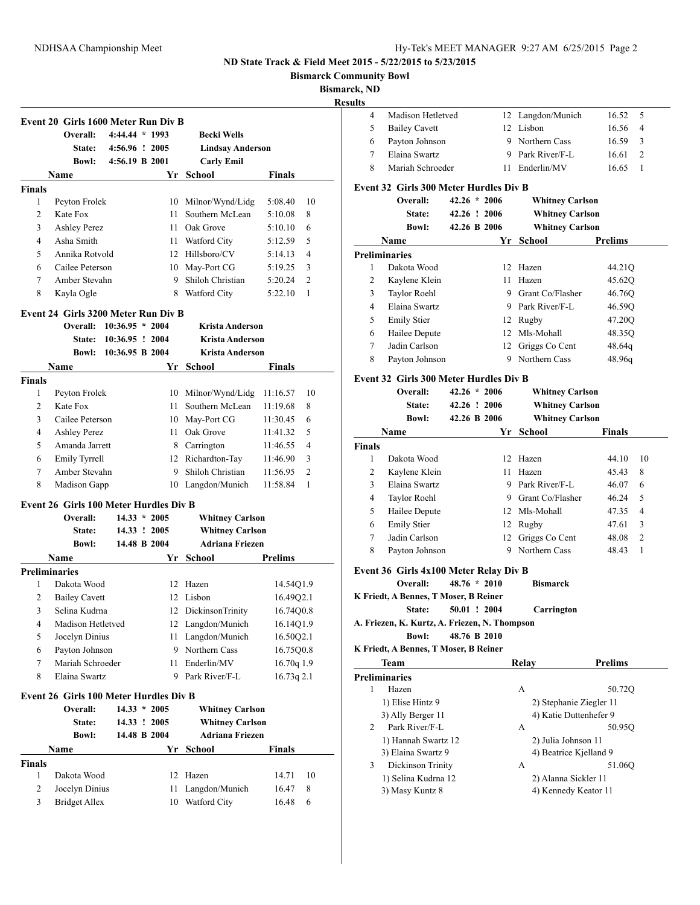**Bismarck Community Bowl**

**Bismarck, ND**

|                | Event 20 Girls 1600 Meter Run Div B    |                 |                |                         |                            |
|----------------|----------------------------------------|-----------------|----------------|-------------------------|----------------------------|
|                | Overall:                               | 4:44.44 * 1993  |                | <b>Becki Wells</b>      |                            |
|                | <b>State:</b>                          | 4:56.96 ! 2005  |                | <b>Lindsay Anderson</b> |                            |
|                | <b>Bowl:</b>                           | 4:56.19 B 2001  |                | <b>Carly Emil</b>       |                            |
|                | Name                                   |                 |                | Yr School               | Finals                     |
| <b>Finals</b>  |                                        |                 |                |                         |                            |
| 1              | Peyton Frolek                          |                 |                | 10 Milnor/Wynd/Lidg     | 5:08.40<br>10              |
| 2              | Kate Fox                               |                 | 11             | Southern McLean         | 8<br>5:10.08               |
| 3              | <b>Ashley Perez</b>                    |                 | 11 -           | Oak Grove               | 5:10.10<br>6               |
| $\overline{4}$ | Asha Smith                             |                 |                | 11 Watford City         | 5:12.59<br>5               |
| 5              | Annika Rotvold                         |                 |                | 12 Hillsboro/CV         | 4<br>5:14.13               |
| 6              | Cailee Peterson                        |                 |                | 10 May-Port CG          | 3<br>5:19.25               |
| 7              | Amber Stevahn                          |                 |                | 9 Shiloh Christian      | 2<br>5:20.24               |
| 8              | Kayla Ogle                             |                 |                | 8 Watford City          | 1<br>5:22.10               |
|                | Event 24 Girls 3200 Meter Run Div B    |                 |                |                         |                            |
|                | Overall: 10:36.95 * 2004               |                 |                | Krista Anderson         |                            |
|                | <b>State:</b>                          | 10:36.95 ! 2004 |                | <b>Krista Anderson</b>  |                            |
|                | Bowl:                                  | 10:36.95 B 2004 |                | <b>Krista Anderson</b>  |                            |
|                | Name                                   |                 |                | Yr School               | Finals                     |
| Finals         |                                        |                 |                |                         |                            |
| 1              | Peyton Frolek                          |                 |                | 10 Milnor/Wynd/Lidg     | 11:16.57<br>10             |
| 2              | Kate Fox                               |                 | 11             | Southern McLean         | 11:19.68<br>8              |
| 3              | Cailee Peterson                        |                 |                | 10 May-Port CG          | 6<br>11:30.45              |
| $\overline{4}$ | <b>Ashley Perez</b>                    |                 | 11             | Oak Grove               | 5<br>11:41.32              |
| 5              | Amanda Jarrett                         |                 |                | 8 Carrington            | 11:46.55<br>4              |
| 6              | Emily Tyrrell                          |                 |                | 12 Richardton-Tay       | 11:46.90<br>3              |
| 7              | Amber Stevahn                          |                 |                | 9 Shiloh Christian      | $\overline{2}$<br>11:56.95 |
| 8              | Madison Gapp                           |                 |                | 10 Langdon/Munich       | 11:58.84<br>1              |
|                | Event 26 Girls 100 Meter Hurdles Div B |                 |                |                         |                            |
|                | Overall:                               |                 | $14.33 * 2005$ | <b>Whitney Carlson</b>  |                            |
|                | <b>State:</b>                          |                 | 14.33 ! 2005   | <b>Whitney Carlson</b>  |                            |
|                | <b>Bowl:</b>                           |                 | 14.48 B 2004   | <b>Adriana Friezen</b>  |                            |
|                | Name                                   |                 |                | Yr School               | Prelims                    |
|                | <b>Preliminaries</b>                   |                 |                |                         |                            |
| 1              | Dakota Wood                            |                 | 12             | Hazen                   | 14.54Q1.9                  |
|                |                                        |                 |                | 12 Lisbon               | 16.49Q2.1                  |
| 2              | <b>Bailey Cavett</b>                   |                 |                |                         |                            |
| 3              | Selina Kudrna                          |                 |                | 12 DickinsonTrinity     | 16.74Q0.8                  |
| 4              | Madison Hetletved                      |                 |                | 12 Langdon/Munich       | 16.14Q1.9                  |
| 5              | Jocelyn Dinius                         |                 | 11             | Langdon/Munich          | 16.50Q2.1                  |
| 6              | Payton Johnson                         |                 |                | 9 Northern Cass         | 16.75Q0.8                  |
| 7              | Mariah Schroeder                       |                 | 11             | Enderlin/MV             | 16.70q 1.9                 |
| 8              | Elaina Swartz                          |                 |                | 9 Park River/F-L        | 16.73q 2.1                 |
|                | Event 26 Girls 100 Meter Hurdles Div B |                 |                |                         |                            |
|                | Overall:                               |                 | $14.33 * 2005$ | <b>Whitney Carlson</b>  |                            |
|                | State:                                 |                 | 14.33 ! 2005   | <b>Whitney Carlson</b>  |                            |
|                | <b>Bowl:</b>                           |                 | 14.48 B 2004   | <b>Adriana Friezen</b>  |                            |
|                | Name                                   |                 |                | Yr School               | <b>Finals</b>              |
| Finals         |                                        |                 |                |                         |                            |
| 1              | Dakota Wood                            |                 | 12             | Hazen                   | 14.71<br>10                |
| 2              | Jocelyn Dinius                         |                 | 11             | Langdon/Munich          | 8<br>16.47                 |

| ults          |                                                                |                |                         |                         |
|---------------|----------------------------------------------------------------|----------------|-------------------------|-------------------------|
| 4             | Madison Hetletved                                              |                | 12 Langdon/Munich       | 16.52<br>5              |
| 5             | <b>Bailey Cavett</b>                                           |                | 12 Lisbon               | 16.56<br>4              |
| 6             | Payton Johnson                                                 |                | 9 Northern Cass         | 3<br>16.59              |
| 7             | Elaina Swartz                                                  |                | 9 Park River/F-L        | $\overline{2}$<br>16.61 |
| 8             | Mariah Schroeder                                               |                | 11 Enderlin/MV          | 16.65<br>1              |
|               | Event 32 Girls 300 Meter Hurdles Div B                         |                |                         |                         |
|               | Overall:                                                       | $42.26 * 2006$ | <b>Whitney Carlson</b>  |                         |
|               | <b>State:</b>                                                  | 42.26 ! 2006   | <b>Whitney Carlson</b>  |                         |
|               | <b>Bowl:</b>                                                   | 42.26 B 2006   | <b>Whitney Carlson</b>  |                         |
|               | Name                                                           |                | Yr School               | <b>Prelims</b>          |
|               | <b>Preliminaries</b>                                           |                |                         |                         |
| 1             | Dakota Wood                                                    | 12             | Hazen                   | 44.21Q                  |
| 2             | Kaylene Klein                                                  | 11             | Hazen                   | 45.62Q                  |
| 3             | Taylor Roehl                                                   |                | 9 Grant Co/Flasher      | 46.76Q                  |
| 4             | Elaina Swartz                                                  |                | 9 Park River/F-L        |                         |
|               |                                                                |                |                         | 46.59Q                  |
| 5             | <b>Emily Stier</b>                                             |                | 12 Rugby                | 47.20Q                  |
| 6             | Hailee Depute                                                  |                | 12 Mls-Mohall           | 48.35Q                  |
| 7             | Jadin Carlson                                                  |                | 12 Griggs Co Cent       | 48.64q                  |
| 8             | Payton Johnson                                                 |                | 9 Northern Cass         | 48.96q                  |
|               | <b>Event 32 Girls 300 Meter Hurdles Div B</b>                  |                |                         |                         |
|               | Overall:                                                       | $42.26 * 2006$ | <b>Whitney Carlson</b>  |                         |
|               | <b>State:</b>                                                  | 42.26 ! 2006   | <b>Whitney Carlson</b>  |                         |
|               | <b>Bowl:</b>                                                   | 42.26 B 2006   | <b>Whitney Carlson</b>  |                         |
|               | Name                                                           |                | Yr School               | Finals                  |
| <b>Finals</b> |                                                                |                |                         |                         |
| 1             | Dakota Wood                                                    |                | 12 Hazen                | 10<br>44.10             |
| 2             | Kaylene Klein                                                  | 11             | Hazen                   | 45.43<br>8              |
| 3             | Elaina Swartz                                                  |                | 9 Park River/F-L        | 6<br>46.07              |
| 4             | <b>Taylor Roehl</b>                                            |                | 9 Grant Co/Flasher      | 5<br>46.24              |
| 5             | Hailee Depute                                                  |                | 12 Mls-Mohall           | 47.35<br>4              |
| 6             | <b>Emily Stier</b>                                             |                | 12 Rugby                | 3<br>47.61              |
| 7             | Jadin Carlson                                                  | 12             | Griggs Co Cent          | $\overline{c}$<br>48.08 |
| 8             | Payton Johnson                                                 |                | 9 Northern Cass         | 1<br>48.43              |
|               |                                                                |                |                         |                         |
|               | Event 36 Girls 4x100 Meter Relay Div B<br>Overall:             | $48.76 * 2010$ | <b>Bismarck</b>         |                         |
|               | K Friedt, A Bennes, T Moser, B Reiner                          |                |                         |                         |
|               |                                                                |                | Carrington              |                         |
|               | <b>State:</b><br>A. Friezen, K. Kurtz, A. Friezen, N. Thompson | 50.01 ! 2004   |                         |                         |
|               | <b>Bowl:</b>                                                   | 48.76 B 2010   |                         |                         |
|               | K Friedt, A Bennes, T Moser, B Reiner                          |                |                         |                         |
|               | Team                                                           |                | Relay                   | <b>Prelims</b>          |
|               | <b>Preliminaries</b>                                           |                |                         |                         |
| 1             | Hazen                                                          |                | А                       | 50.72Q                  |
|               | 1) Elise Hintz 9                                               |                | 2) Stephanie Ziegler 11 |                         |
|               | 3) Ally Berger 11                                              |                | 4) Katie Duttenhefer 9  |                         |
| 2             | Park River/F-L                                                 |                | А                       | 50.95Q                  |
|               | 1) Hannah Swartz 12                                            |                | 2) Julia Johnson 11     |                         |
|               | 3) Elaina Swartz 9                                             |                | 4) Beatrice Kjelland 9  |                         |
| 3             | Dickinson Trinity                                              |                | A                       | 51.06Q                  |
|               | 1) Selina Kudrna 12                                            |                | 2) Alanna Sickler 11    |                         |
|               |                                                                |                |                         |                         |

3) Masy Kuntz 8 4) Kennedy Keator 11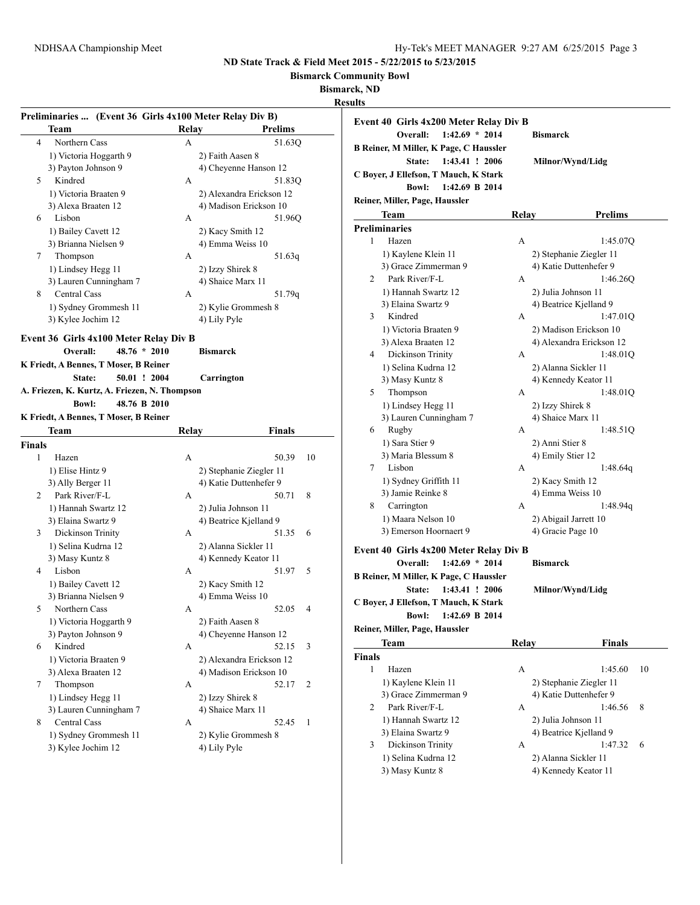**Bismarck Community Bowl**

**Bismarck, ND**

**Results**

| Relay<br>A<br>A<br>A                   | Preliminaries  (Event 36 Girls 4x100 Meter Relay Div B)<br>Prelims<br>51.63Q<br>2) Faith Aasen 8<br>4) Cheyenne Hanson 12<br>51.830<br>2) Alexandra Erickson 12<br>4) Madison Erickson 10 |                                                                                                                                                                                                                                                                                                                                                                                                                                                                        |
|----------------------------------------|-------------------------------------------------------------------------------------------------------------------------------------------------------------------------------------------|------------------------------------------------------------------------------------------------------------------------------------------------------------------------------------------------------------------------------------------------------------------------------------------------------------------------------------------------------------------------------------------------------------------------------------------------------------------------|
|                                        |                                                                                                                                                                                           |                                                                                                                                                                                                                                                                                                                                                                                                                                                                        |
|                                        |                                                                                                                                                                                           |                                                                                                                                                                                                                                                                                                                                                                                                                                                                        |
|                                        |                                                                                                                                                                                           |                                                                                                                                                                                                                                                                                                                                                                                                                                                                        |
|                                        |                                                                                                                                                                                           |                                                                                                                                                                                                                                                                                                                                                                                                                                                                        |
|                                        |                                                                                                                                                                                           |                                                                                                                                                                                                                                                                                                                                                                                                                                                                        |
|                                        |                                                                                                                                                                                           |                                                                                                                                                                                                                                                                                                                                                                                                                                                                        |
|                                        |                                                                                                                                                                                           |                                                                                                                                                                                                                                                                                                                                                                                                                                                                        |
|                                        | 51.96Q                                                                                                                                                                                    |                                                                                                                                                                                                                                                                                                                                                                                                                                                                        |
|                                        | 2) Kacy Smith 12                                                                                                                                                                          |                                                                                                                                                                                                                                                                                                                                                                                                                                                                        |
|                                        | 4) Emma Weiss 10                                                                                                                                                                          |                                                                                                                                                                                                                                                                                                                                                                                                                                                                        |
| A                                      |                                                                                                                                                                                           |                                                                                                                                                                                                                                                                                                                                                                                                                                                                        |
|                                        | 51.63q                                                                                                                                                                                    |                                                                                                                                                                                                                                                                                                                                                                                                                                                                        |
|                                        | 2) Izzy Shirek 8                                                                                                                                                                          |                                                                                                                                                                                                                                                                                                                                                                                                                                                                        |
|                                        |                                                                                                                                                                                           |                                                                                                                                                                                                                                                                                                                                                                                                                                                                        |
|                                        |                                                                                                                                                                                           |                                                                                                                                                                                                                                                                                                                                                                                                                                                                        |
|                                        |                                                                                                                                                                                           |                                                                                                                                                                                                                                                                                                                                                                                                                                                                        |
|                                        |                                                                                                                                                                                           |                                                                                                                                                                                                                                                                                                                                                                                                                                                                        |
| Event 36 Girls 4x100 Meter Relay Div B |                                                                                                                                                                                           |                                                                                                                                                                                                                                                                                                                                                                                                                                                                        |
| $48.76 * 2010$                         | <b>Bismarck</b>                                                                                                                                                                           |                                                                                                                                                                                                                                                                                                                                                                                                                                                                        |
| K Friedt, A Bennes, T Moser, B Reiner  |                                                                                                                                                                                           |                                                                                                                                                                                                                                                                                                                                                                                                                                                                        |
| 50.01 ! 2004                           |                                                                                                                                                                                           |                                                                                                                                                                                                                                                                                                                                                                                                                                                                        |
|                                        |                                                                                                                                                                                           |                                                                                                                                                                                                                                                                                                                                                                                                                                                                        |
| 48.76 B 2010                           |                                                                                                                                                                                           |                                                                                                                                                                                                                                                                                                                                                                                                                                                                        |
|                                        |                                                                                                                                                                                           |                                                                                                                                                                                                                                                                                                                                                                                                                                                                        |
|                                        |                                                                                                                                                                                           |                                                                                                                                                                                                                                                                                                                                                                                                                                                                        |
|                                        |                                                                                                                                                                                           |                                                                                                                                                                                                                                                                                                                                                                                                                                                                        |
|                                        |                                                                                                                                                                                           |                                                                                                                                                                                                                                                                                                                                                                                                                                                                        |
|                                        |                                                                                                                                                                                           |                                                                                                                                                                                                                                                                                                                                                                                                                                                                        |
|                                        |                                                                                                                                                                                           |                                                                                                                                                                                                                                                                                                                                                                                                                                                                        |
|                                        |                                                                                                                                                                                           |                                                                                                                                                                                                                                                                                                                                                                                                                                                                        |
|                                        |                                                                                                                                                                                           |                                                                                                                                                                                                                                                                                                                                                                                                                                                                        |
|                                        |                                                                                                                                                                                           |                                                                                                                                                                                                                                                                                                                                                                                                                                                                        |
|                                        |                                                                                                                                                                                           |                                                                                                                                                                                                                                                                                                                                                                                                                                                                        |
|                                        |                                                                                                                                                                                           |                                                                                                                                                                                                                                                                                                                                                                                                                                                                        |
|                                        |                                                                                                                                                                                           |                                                                                                                                                                                                                                                                                                                                                                                                                                                                        |
|                                        |                                                                                                                                                                                           |                                                                                                                                                                                                                                                                                                                                                                                                                                                                        |
|                                        |                                                                                                                                                                                           |                                                                                                                                                                                                                                                                                                                                                                                                                                                                        |
|                                        |                                                                                                                                                                                           |                                                                                                                                                                                                                                                                                                                                                                                                                                                                        |
|                                        |                                                                                                                                                                                           |                                                                                                                                                                                                                                                                                                                                                                                                                                                                        |
|                                        |                                                                                                                                                                                           |                                                                                                                                                                                                                                                                                                                                                                                                                                                                        |
|                                        |                                                                                                                                                                                           |                                                                                                                                                                                                                                                                                                                                                                                                                                                                        |
|                                        |                                                                                                                                                                                           |                                                                                                                                                                                                                                                                                                                                                                                                                                                                        |
| А                                      | 52.15<br>3                                                                                                                                                                                |                                                                                                                                                                                                                                                                                                                                                                                                                                                                        |
|                                        | 2) Alexandra Erickson 12                                                                                                                                                                  |                                                                                                                                                                                                                                                                                                                                                                                                                                                                        |
|                                        | 4) Madison Erickson 10                                                                                                                                                                    |                                                                                                                                                                                                                                                                                                                                                                                                                                                                        |
| А                                      | 52.17<br>2                                                                                                                                                                                |                                                                                                                                                                                                                                                                                                                                                                                                                                                                        |
|                                        | 2) Izzy Shirek 8                                                                                                                                                                          |                                                                                                                                                                                                                                                                                                                                                                                                                                                                        |
|                                        | 4) Shaice Marx 11                                                                                                                                                                         |                                                                                                                                                                                                                                                                                                                                                                                                                                                                        |
| А                                      | 52.45<br>1                                                                                                                                                                                |                                                                                                                                                                                                                                                                                                                                                                                                                                                                        |
|                                        |                                                                                                                                                                                           |                                                                                                                                                                                                                                                                                                                                                                                                                                                                        |
|                                        | 2) Kylie Grommesh 8                                                                                                                                                                       |                                                                                                                                                                                                                                                                                                                                                                                                                                                                        |
|                                        | А<br>K Friedt, A Bennes, T Moser, B Reiner<br>A<br>A<br>А<br>A<br>А                                                                                                                       | 4) Shaice Marx 11<br>51.79q<br>2) Kylie Grommesh 8<br>4) Lily Pyle<br>Carrington<br>A. Friezen, K. Kurtz, A. Friezen, N. Thompson<br>Relay<br>Finals<br>50.39<br>10<br>2) Stephanie Ziegler 11<br>4) Katie Duttenhefer 9<br>50.71<br>8<br>2) Julia Johnson 11<br>4) Beatrice Kjelland 9<br>51.35<br>6<br>2) Alanna Sickler 11<br>4) Kennedy Keator 11<br>51.97<br>5<br>2) Kacy Smith 12<br>4) Emma Weiss 10<br>52.05<br>4<br>2) Faith Aasen 8<br>4) Cheyenne Hanson 12 |

| ults          |                                               |       |                                            |
|---------------|-----------------------------------------------|-------|--------------------------------------------|
|               | Event 40 Girls 4x200 Meter Relay Div B        |       |                                            |
|               | $1:42.69 * 2014$<br>Overall:                  |       | <b>Bismarck</b>                            |
|               | <b>B Reiner, M Miller, K Page, C Haussler</b> |       |                                            |
|               | 1:43.41 ! 2006<br>State:                      |       | Milnor/Wynd/Lidg                           |
|               | C Boyer, J Ellefson, T Mauch, K Stark         |       |                                            |
|               | 1:42.69 B 2014<br><b>Bowl:</b>                |       |                                            |
|               | Reiner, Miller, Page, Haussler                |       |                                            |
|               | Team                                          | Relay | Prelims                                    |
|               | <b>Preliminaries</b>                          |       |                                            |
| 1             | Hazen                                         |       |                                            |
|               |                                               | A     | 1:45.07Q                                   |
|               | 1) Kaylene Klein 11                           |       | 2) Stephanie Ziegler 11                    |
|               | 3) Grace Zimmerman 9                          |       | 4) Katie Duttenhefer 9                     |
| 2             | Park River/F-L                                | A     | 1:46.260                                   |
|               | 1) Hannah Swartz 12                           |       | 2) Julia Johnson 11                        |
|               | 3) Elaina Swartz 9                            |       | 4) Beatrice Kjelland 9                     |
| 3             | Kindred                                       | A     | 1:47.01Q                                   |
|               | 1) Victoria Braaten 9                         |       | 2) Madison Erickson 10                     |
|               | 3) Alexa Braaten 12                           |       | 4) Alexandra Erickson 12                   |
| 4             | Dickinson Trinity                             | A     | 1:48.01Q                                   |
|               | 1) Selina Kudrna 12                           |       | 2) Alanna Sickler 11                       |
|               | 3) Masy Kuntz 8                               |       | 4) Kennedy Keator 11                       |
| 5             | Thompson                                      | A     | 1:48.01Q                                   |
|               | 1) Lindsey Hegg 11                            |       | 2) Izzy Shirek 8                           |
|               | 3) Lauren Cunningham 7                        |       | 4) Shaice Marx 11                          |
| 6             | Rugby                                         | A     | 1:48.51Q                                   |
|               | 1) Sara Stier 9                               |       | 2) Anni Stier 8                            |
|               | 3) Maria Blessum 8                            |       | 4) Emily Stier 12                          |
| 7             | Lisbon                                        | A     | 1:48.64q                                   |
|               | 1) Sydney Griffith 11                         |       | 2) Kacy Smith 12                           |
|               | 3) Jamie Reinke 8                             |       | 4) Emma Weiss 10                           |
| 8             | Carrington                                    | A     | 1:48.94g                                   |
|               | 1) Maara Nelson 10                            |       | 2) Abigail Jarrett 10                      |
|               | 3) Emerson Hoornaert 9                        |       | 4) Gracie Page 10                          |
|               | Event 40 Girls 4x200 Meter Relay Div B        |       |                                            |
|               | $1:42.69 * 2014$<br>Overall:                  |       | <b>Bismarck</b>                            |
|               | B Reiner, M Miller, K Page, C Haussler        |       |                                            |
|               | 1:43.41 ! 2006<br>State:                      |       | Milnor/Wynd/Lidg                           |
|               | C Boyer, J Ellefson, T Mauch, K Stark         |       |                                            |
|               | 1:42.69 B 2014<br><b>Bowl:</b>                |       |                                            |
|               | Reiner, Miller, Page, Haussler                |       |                                            |
|               | Team                                          | Relay | <b>Finals</b>                              |
| <b>Finals</b> |                                               |       |                                            |
| 1             | Hazen                                         | A     | 10<br>1:45.60                              |
|               | 1) Kaylene Klein 11                           |       | 2) Stephanie Ziegler 11                    |
|               | $2\sqrt{C}$ rogo $7$ imponentana 0            |       | $\bigwedge V$ otia Duttonhafor $\bigwedge$ |

3) Grace Zimmerman 9 4) Katie Duttenhefer 9 2 Park River/F-L A 1:46.56 8 1) Hannah Swartz 12 2) Julia Johnson 11<br>3) Elaina Swartz 9 4) Beatrice Kjelland 9 3) Elaina Swartz 9 3 Dickinson Trinity A 1:47.32 6 1) Selina Kudrna 12 2) Alanna Sickler 11

3) Masy Kuntz 8 4) Kennedy Keator 11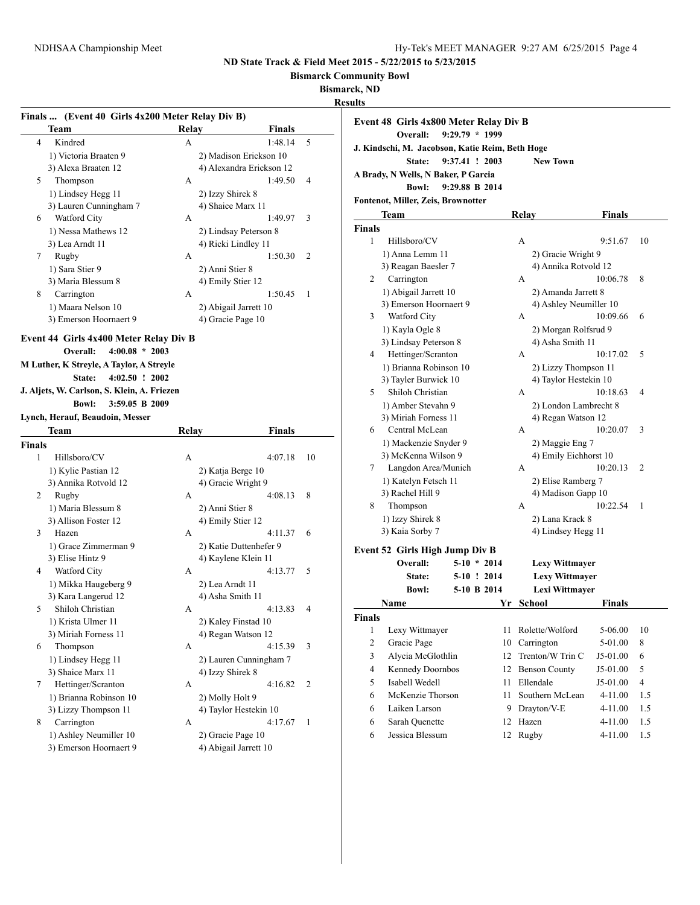**Bismarck Community Bowl**

**Bismarck, ND**

|        |                                             |       | Finals  (Event 40 Girls 4x200 Meter Relay Div B) |    |
|--------|---------------------------------------------|-------|--------------------------------------------------|----|
|        | Team                                        | Relay | <b>Finals</b>                                    |    |
| 4      | Kindred                                     | A     | 1:48.14                                          | 5  |
|        | 1) Victoria Braaten 9                       |       | 2) Madison Erickson 10                           |    |
|        | 3) Alexa Braaten 12                         |       | 4) Alexandra Erickson 12                         |    |
| 5      | Thompson                                    | A     | 1:49.50                                          | 4  |
|        | 1) Lindsey Hegg 11                          |       | 2) Izzy Shirek 8                                 |    |
|        | 3) Lauren Cunningham 7                      |       | 4) Shaice Marx 11                                |    |
| 6      | Watford City                                | A     | 1:49.97                                          | 3  |
|        | 1) Nessa Mathews 12                         |       | 2) Lindsay Peterson 8                            |    |
|        | 3) Lea Arndt 11                             |       | 4) Ricki Lindley 11                              |    |
| 7      | Rugby                                       | A     | 1:50.30                                          | 2  |
|        | 1) Sara Stier 9                             |       | 2) Anni Stier 8                                  |    |
|        | 3) Maria Blessum 8                          |       | 4) Emily Stier 12                                |    |
| 8      | Carrington                                  | A     | 1:50.45                                          | 1  |
|        | 1) Maara Nelson 10                          |       | 2) Abigail Jarrett 10                            |    |
|        | 3) Emerson Hoornaert 9                      |       | 4) Gracie Page 10                                |    |
|        | Event 44 Girls 4x400 Meter Relay Div B      |       |                                                  |    |
|        | $4:00.08 * 2003$<br>Overall:                |       |                                                  |    |
|        | M Luther, K Streyle, A Taylor, A Streyle    |       |                                                  |    |
|        | $4:02.50$ ! 2002<br>State:                  |       |                                                  |    |
|        | J. Aljets, W. Carlson, S. Klein, A. Friezen |       |                                                  |    |
|        | <b>Bowl:</b><br>3:59.05 B 2009              |       |                                                  |    |
|        | Lynch, Herauf, Beaudoin, Messer             |       |                                                  |    |
|        | Team                                        | Relay | <b>Finals</b>                                    |    |
| Finals |                                             |       |                                                  |    |
|        |                                             |       |                                                  |    |
| 1      |                                             |       |                                                  |    |
|        | Hillsboro/CV                                | A     | 4:07.18                                          | 10 |
|        | 1) Kylie Pastian 12                         |       | 2) Katja Berge 10                                |    |
|        | 3) Annika Rotvold 12                        | A     | 4) Gracie Wright 9                               |    |
| 2      | Rugby                                       |       | 4:08.13                                          | 8  |
|        | 1) Maria Blessum 8                          |       | 2) Anni Stier 8                                  |    |
| 3      | 3) Allison Foster 12<br>Hazen               | A     | 4) Emily Stier 12<br>4:11.37                     | 6  |
|        |                                             |       |                                                  |    |
|        | 1) Grace Zimmerman 9                        |       | 2) Katie Duttenhefer 9                           |    |
|        | 3) Elise Hintz 9                            |       | 4) Kaylene Klein 11                              |    |
| 4      | Watford City                                | A     | 4:13.77                                          | 5  |
|        | 1) Mikka Haugeberg 9                        |       | 2) Lea Arndt 11                                  |    |
|        | 3) Kara Langerud 12                         |       | 4) Asha Smith 11                                 |    |
| C      | Shiloh Christian                            | A     | 4:13.83                                          | 4  |
|        | 1) Krista Ulmer 11                          |       | 2) Kaley Finstad 10                              |    |
|        | 3) Miriah Forness 11                        |       | 4) Regan Watson 12                               |    |
| 6      | Thompson                                    | A     | 4:15.39                                          | 3  |
|        | 1) Lindsey Hegg 11                          |       | 2) Lauren Cunningham 7                           |    |
|        | 3) Shaice Marx 11                           |       | 4) Izzy Shirek 8                                 |    |
| 7      | Hettinger/Scranton                          | A     | 4:16.82                                          | 2  |
|        | 1) Brianna Robinson 10                      |       | 2) Molly Holt 9                                  |    |
|        | 3) Lizzy Thompson 11                        |       | 4) Taylor Hestekin 10                            |    |
| 8      | Carrington<br>1) Ashley Neumiller 10        | A     | 4:17.67<br>2) Gracie Page 10                     | 1  |

| แเร            |                                                 |                  |            |                        |               |                |
|----------------|-------------------------------------------------|------------------|------------|------------------------|---------------|----------------|
|                | Event 48 Girls 4x800 Meter Relay Div B          |                  |            |                        |               |                |
|                | Overall:                                        | $9:29.79 * 1999$ |            |                        |               |                |
|                | J. Kindschi, M. Jacobson, Katie Reim, Beth Hoge |                  |            |                        |               |                |
|                | State:                                          | 9:37.41 ! 2003   |            | <b>New Town</b>        |               |                |
|                | A Brady, N Wells, N Baker, P Garcia             |                  |            |                        |               |                |
|                | <b>Bowl:</b>                                    | 9:29.88 B 2014   |            |                        |               |                |
|                | Fontenot, Miller, Zeis, Brownotter              |                  |            |                        |               |                |
|                | Team                                            |                  | Relay      |                        | <b>Finals</b> |                |
|                |                                                 |                  |            |                        |               |                |
| Finals<br>1    | Hillsboro/CV                                    |                  |            |                        |               | 10             |
|                |                                                 |                  | А          |                        | 9:51.67       |                |
|                | 1) Anna Lemm 11                                 |                  |            | 2) Gracie Wright 9     |               |                |
|                | 3) Reagan Baesler 7                             |                  |            | 4) Annika Rotvold 12   |               |                |
| 2              | Carrington                                      |                  | А          |                        | 10:06.78      | 8              |
|                | 1) Abigail Jarrett 10                           |                  |            | 2) Amanda Jarrett 8    |               |                |
|                | 3) Emerson Hoornaert 9                          |                  |            | 4) Ashley Neumiller 10 |               |                |
| 3              | Watford City                                    |                  | А          |                        | 10:09.66      | 6              |
|                | 1) Kayla Ogle 8                                 |                  |            | 2) Morgan Rolfsrud 9   |               |                |
| 4              | 3) Lindsay Peterson 8                           |                  |            | 4) Asha Smith 11       |               | 5              |
|                | Hettinger/Scranton                              |                  | А          |                        | 10:17.02      |                |
|                | 1) Brianna Robinson 10                          |                  |            | 2) Lizzy Thompson 11   |               |                |
|                | 3) Tayler Burwick 10<br>Shiloh Christian        |                  |            | 4) Taylor Hestekin 10  |               | 4              |
| 5              |                                                 |                  | А          |                        | 10:18.63      |                |
|                | 1) Amber Stevahn 9                              |                  |            | 2) London Lambrecht 8  |               |                |
|                | 3) Miriah Forness 11                            |                  |            | 4) Regan Watson 12     |               |                |
| 6              | Central McLean                                  |                  | А          |                        | 10:20.07      | 3              |
|                | 1) Mackenzie Snyder 9                           |                  |            | 2) Maggie Eng 7        |               |                |
|                | 3) McKenna Wilson 9                             |                  |            | 4) Emily Eichhorst 10  |               |                |
| 7              | Langdon Area/Munich                             |                  | A          |                        | 10:20.13      | 2              |
|                | 1) Katelyn Fetsch 11                            |                  |            | 2) Elise Ramberg 7     |               |                |
|                | 3) Rachel Hill 9                                |                  |            | 4) Madison Gapp 10     |               |                |
| 8              | Thompson                                        |                  | А          |                        | 10:22.54      | 1              |
|                | 1) Izzy Shirek 8                                |                  |            | 2) Lana Krack 8        |               |                |
|                | 3) Kaia Sorby 7                                 |                  |            | 4) Lindsey Hegg 11     |               |                |
|                | Event 52 Girls High Jump Div B                  |                  |            |                        |               |                |
|                | Overall:                                        | $5-10 * 2014$    |            | <b>Lexy Wittmayer</b>  |               |                |
|                | State:                                          | 5-10 ! 2014      |            | <b>Lexy Wittmayer</b>  |               |                |
|                | <b>Bowl:</b>                                    | 5-10 B 2014      |            | <b>Lexi Wittmaver</b>  |               |                |
|                | Name                                            | Yr               | School     |                        | Finals        |                |
| Finals         |                                                 |                  |            |                        |               |                |
| 1              | Lexy Wittmayer                                  | 11               |            | Rolette/Wolford        | 5-06.00       | 10             |
| $\overline{c}$ | Gracie Page                                     | 10               | Carrington |                        | 5-01.00       | 8              |
| 3              | Alycia McGlothlin                               | 12               |            | Trenton/W Trin C       | J5-01.00      | 6              |
| 4              | Kennedy Doornbos                                | 12               |            | <b>Benson County</b>   | J5-01.00      | 5              |
| 5              | Isabell Wedell                                  | 11               | Ellendale  |                        | J5-01.00      | $\overline{4}$ |
| 6              | McKenzie Thorson                                | 11               |            | Southern McLean        | 4-11.00       | 1.5            |
|                |                                                 |                  |            |                        |               |                |
| 6              | Laiken Larson                                   | 9                |            | Drayton/V-E            | 4-11.00       | 1.5            |
| 6              | Sarah Quenette                                  | 12               | Hazen      |                        | 4-11.00       | 1.5            |
| 6              | Jessica Blessum                                 | 12               | Rugby      |                        | 4-11.00       | 1.5            |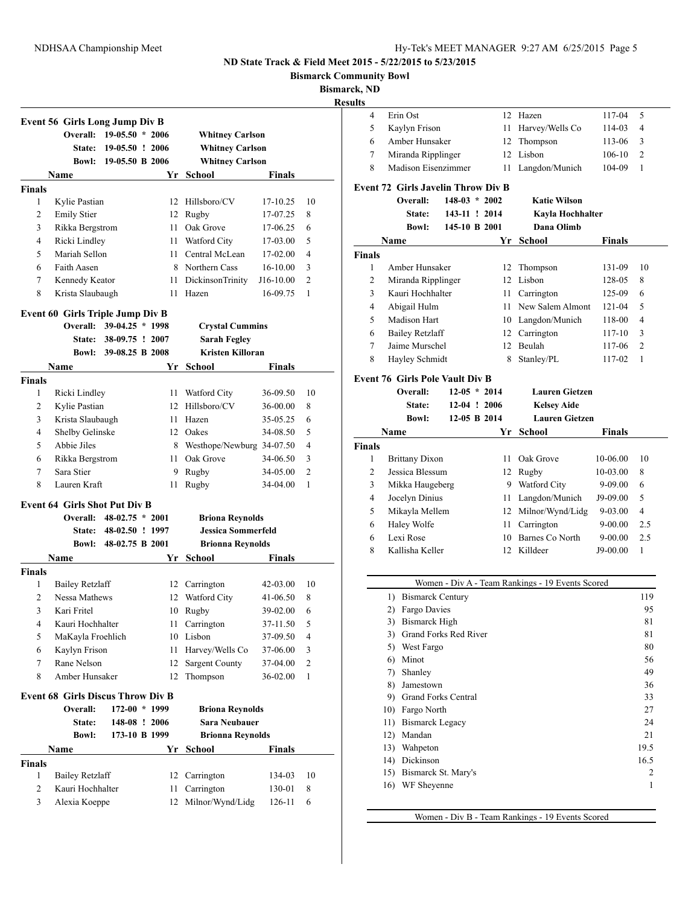**Bismarck Community Bowl**

**Bismarck, ND**

**Results**

|                | <b>Event 56 Girls Long Jump Div B</b>    |                          |    |                             |            |                |
|----------------|------------------------------------------|--------------------------|----|-----------------------------|------------|----------------|
|                | Overall:                                 | $19-05.50 * 2006$        |    | <b>Whitney Carlson</b>      |            |                |
|                | State:                                   | 19-05.50 ! 2006          |    | <b>Whitney Carlson</b>      |            |                |
|                |                                          | Bowl: 19-05.50 B 2006    |    | <b>Whitney Carlson</b>      |            |                |
|                | Name                                     |                          | Yr | <b>School</b>               | Finals     |                |
| <b>Finals</b>  |                                          |                          |    |                             |            |                |
| 1              | Kylie Pastian                            |                          |    | 12 Hillsboro/CV             | 17-10.25   | 10             |
| 2              | <b>Emily Stier</b>                       |                          |    | 12 Rugby                    | 17-07.25   | 8              |
| 3              | Rikka Bergstrom                          |                          |    | 11 Oak Grove                | 17-06.25   | 6              |
| 4              | Ricki Lindley                            |                          |    | 11 Watford City             | 17-03.00   | 5              |
| 5              | Mariah Sellon                            |                          |    | 11 Central McLean           | 17-02.00   | 4              |
| 6              | Faith Aasen                              |                          |    | 8 Northern Cass             | $16-10.00$ | 3              |
| 7              | Kennedy Keator                           |                          | 11 | DickinsonTrinity            | J16-10.00  | $\overline{2}$ |
| 8              | Krista Slaubaugh                         |                          | 11 | Hazen                       | 16-09.75   | 1              |
|                | <b>Event 60 Girls Triple Jump Div B</b>  |                          |    |                             |            |                |
|                |                                          | Overall: 39-04.25 * 1998 |    | <b>Crystal Cummins</b>      |            |                |
|                | <b>State:</b>                            | 38-09.75 ! 2007          |    | <b>Sarah Fegley</b>         |            |                |
|                |                                          | Bowl: 39-08.25 B 2008    |    | <b>Kristen Killoran</b>     |            |                |
|                | Name                                     |                          | Yr | School                      | Finals     |                |
| <b>Finals</b>  |                                          |                          |    |                             |            |                |
| 1              | Ricki Lindley                            |                          |    | 11 Watford City             | 36-09.50   | 10             |
| 2              | Kylie Pastian                            |                          |    | 12 Hillsboro/CV             | 36-00.00   | 8              |
| 3              | Krista Slaubaugh                         |                          |    | 11 Hazen                    | 35-05.25   | 6              |
| 4              | Shelby Gelinske                          |                          |    | 12 Oakes                    | 34-08.50   | 5              |
| 5              | Abbie Jiles                              |                          |    | 8 Westhope/Newburg 34-07.50 |            | 4              |
| 6              | Rikka Bergstrom                          |                          | 11 | Oak Grove                   | 34-06.50   | 3              |
| 7              | Sara Stier                               |                          | 9  | Rugby                       | 34-05.00   | $\overline{c}$ |
| 8              | Lauren Kraft                             |                          | 11 | Rugby                       | 34-04.00   | 1              |
|                | <b>Event 64 Girls Shot Put Div B</b>     |                          |    |                             |            |                |
|                | Overall:                                 | $48-02.75 * 2001$        |    | <b>Briona Reynolds</b>      |            |                |
|                |                                          | State: 48-02.50 ! 1997   |    | <b>Jessica Sommerfeld</b>   |            |                |
|                |                                          | Bowl: 48-02.75 B 2001    |    | <b>Brionna Reynolds</b>     |            |                |
|                | Name                                     |                          | Yr | <b>School</b>               | Finals     |                |
| <b>Finals</b>  |                                          |                          |    |                             |            |                |
| $\mathbf{1}$   | <b>Bailey Retzlaff</b>                   |                          |    | 12 Carrington               | 42-03.00   | 10             |
| $\overline{2}$ | Nessa Mathews                            |                          |    | 12 Watford City             | 41-06.50   | 8              |
| 3              | Kari Fritel                              |                          |    | 10 Rugby                    | 39-02.00   | 6              |
| 4              | Kauri Hochhalter                         |                          | 11 | Carrington                  | 37-11.50   | 5              |
| 5              | MaKayla Froehlich                        |                          | 10 | Lisbon                      | 37-09.50   | 4              |
| 6              | Kaylyn Frison                            |                          | 11 | Harvey/Wells Co             | 37-06.00   | 3              |
| 7              | Rane Nelson                              |                          | 12 | <b>Sargent County</b>       | 37-04.00   | 2              |
| 8              | Amber Hunsaker                           |                          | 12 | Thompson                    | 36-02.00   | 1              |
|                |                                          |                          |    |                             |            |                |
|                | <b>Event 68 Girls Discus Throw Div B</b> |                          |    |                             |            |                |
|                | Overall:                                 | 172-00 * 1999            |    | <b>Briona Reynolds</b>      |            |                |
|                | State:                                   | 148-08 ! 2006            |    | <b>Sara Neubauer</b>        |            |                |
|                | <b>Bowl:</b>                             | 173-10 B 1999            |    | <b>Brionna Reynolds</b>     |            |                |
|                | Name                                     |                          | Yr | <b>School</b>               | Finals     |                |
|                |                                          |                          |    |                             |            |                |
| 1              | <b>Bailey Retzlaff</b>                   |                          | 12 | Carrington                  | 134-03     |                |
| Finals<br>2    | Kauri Hochhalter                         |                          | 11 | Carrington                  | 130-01     | 10<br>8        |

|               | 4      | Erin Ost                                  |                 |      | 12 Hazen                                         | 117-04        | 5        |
|---------------|--------|-------------------------------------------|-----------------|------|--------------------------------------------------|---------------|----------|
|               | 5      | Kaylyn Frison                             |                 | 11 - | Harvey/Wells Co                                  | 114-03        | 4        |
|               | 6      | Amber Hunsaker                            |                 | 12   | Thompson                                         | 113-06        | 3        |
|               | 7      | Miranda Ripplinger                        |                 |      | 12 Lisbon                                        | $106 - 10$    | 2        |
|               | 8      | Madison Eisenzimmer                       |                 | 11   | Langdon/Munich                                   | 104-09        | 1        |
|               |        | <b>Event 72 Girls Javelin Throw Div B</b> |                 |      |                                                  |               |          |
|               |        | Overall:                                  | $148-03 * 2002$ |      | <b>Katie Wilson</b>                              |               |          |
|               |        | State:                                    | 143-11 ! 2014   |      | Kayla Hochhalter                                 |               |          |
|               |        | <b>Bowl:</b>                              | 145-10 B 2001   |      | Dana Olimb                                       |               |          |
|               | Name   |                                           |                 | Yr   | School                                           | Finals        |          |
| <b>Finals</b> |        |                                           |                 |      |                                                  |               |          |
|               | 1      | Amber Hunsaker                            |                 |      | 12 Thompson                                      | 131-09        | 10       |
|               | 2      | Miranda Ripplinger                        |                 |      | 12 Lisbon                                        | 128-05        | 8        |
|               | 3      | Kauri Hochhalter                          |                 |      | 11 Carrington                                    | 125-09        | 6        |
|               | 4      | Abigail Hulm                              |                 |      | 11 New Salem Almont                              | 121-04        | 5        |
|               | 5      | Madison Hart                              |                 |      | 10 Langdon/Munich                                | 118-00        | 4        |
|               | 6      | <b>Bailey Retzlaff</b>                    |                 |      | 12 Carrington                                    | 117-10        | 3        |
|               | 7      | Jaime Murschel                            |                 |      | 12 Beulah                                        | 117-06        | 2        |
|               | 8      | Hayley Schmidt                            |                 | 8    | Stanley/PL                                       | 117-02        | 1        |
|               |        |                                           |                 |      |                                                  |               |          |
|               |        | Event 76 Girls Pole Vault Div B           |                 |      |                                                  |               |          |
|               |        | Overall:                                  | $12-05 * 2014$  |      | <b>Lauren Gietzen</b>                            |               |          |
|               |        | State:                                    | $12-04$ ! 2006  |      | <b>Kelsey Aide</b>                               |               |          |
|               |        | <b>Bowl:</b>                              | 12-05 B 2014    |      | <b>Lauren Gietzen</b>                            |               |          |
|               | Name   |                                           |                 | Yr   | School                                           | <b>Finals</b> |          |
| <b>Finals</b> |        |                                           |                 |      |                                                  |               |          |
|               | 1      | <b>Brittany Dixon</b>                     |                 | 11 - | Oak Grove                                        | 10-06.00      | 10       |
|               | 2      | Jessica Blessum                           |                 |      | 12 Rugby                                         | 10-03.00      | 8        |
|               | 3      | Mikka Haugeberg                           |                 |      | 9 Watford City                                   | 9-09.00       | 6        |
|               | 4      | Jocelyn Dinius                            |                 |      | 11 Langdon/Munich                                | J9-09.00      | 5        |
|               | 5      | Mikayla Mellem                            |                 |      | 12 Milnor/Wynd/Lidg                              | 9-03.00       | 4        |
|               | 6      | Haley Wolfe<br>Lexi Rose                  |                 | 11 - | Carrington<br>10 Barnes Co North                 | 9-00.00       | 2.5      |
|               | 6<br>8 | Kallisha Keller                           |                 |      | 12 Killdeer                                      | 9-00.00       | 2.5<br>1 |
|               |        |                                           |                 |      |                                                  | J9-00.00      |          |
|               |        |                                           |                 |      |                                                  |               |          |
|               |        |                                           |                 |      | Women - Div A - Team Rankings - 19 Events Scored |               |          |
|               |        | 1) Bismarck Century                       |                 |      |                                                  |               | 119      |
|               | 2)     | Fargo Davies                              |                 |      |                                                  |               | 95       |
|               |        | 3) Bismarck High                          |                 |      |                                                  |               | 81       |
|               |        | 3) Grand Forks Red River                  |                 |      |                                                  |               | 81       |
|               |        | 5) West Fargo                             |                 |      |                                                  |               | 80       |
|               |        | 6) Minot                                  |                 |      |                                                  |               | 56       |
|               |        | 7) Shanley<br>8) Jamestown                |                 |      |                                                  |               | 49       |
|               |        | 9) Grand Forks Central                    |                 |      |                                                  |               | 36<br>33 |
|               |        | 10) Fargo North                           |                 |      |                                                  |               | 27       |
|               |        | 11) Bismarck Legacy                       |                 |      |                                                  |               | 24       |
|               |        | 12) Mandan                                |                 |      |                                                  |               | 21       |
|               |        | 13) Wahpeton                              |                 |      |                                                  |               | 19.5     |
|               |        | 14) Dickinson                             |                 |      |                                                  |               | 16.5     |
|               | 15)    | Bismarck St. Mary's                       |                 |      |                                                  |               | 2        |
|               |        | 16) WF Sheyenne                           |                 |      |                                                  |               | 1        |

Women - Div B - Team Rankings - 19 Events Scored